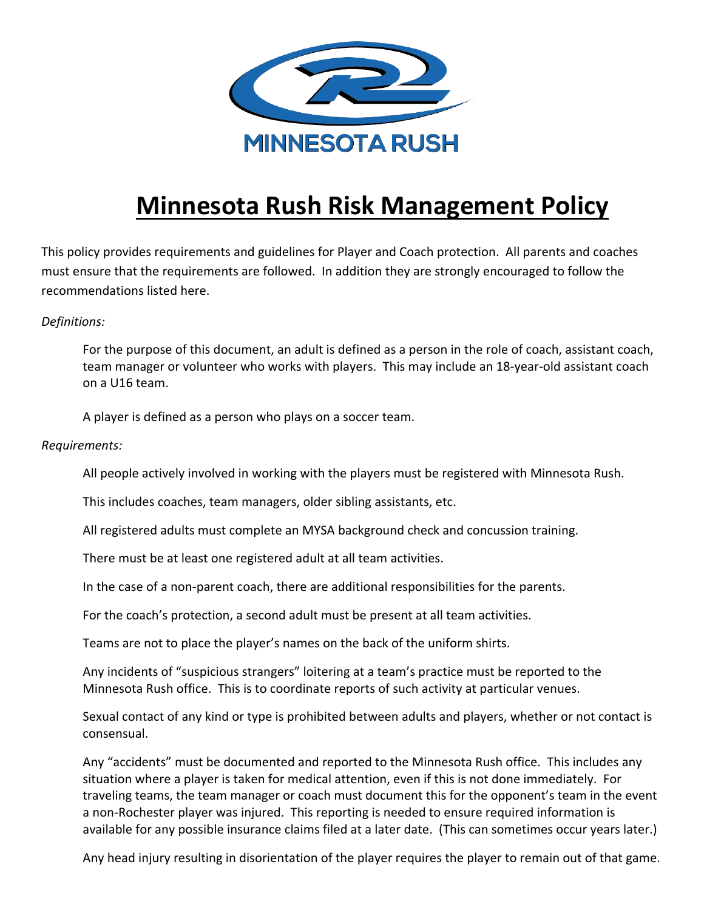

## **Minnesota Rush Risk Management Policy**

This policy provides requirements and guidelines for Player and Coach protection. All parents and coaches must ensure that the requirements are followed. In addition they are strongly encouraged to follow the recommendations listed here.

## *Definitions:*

For the purpose of this document, an adult is defined as a person in the role of coach, assistant coach, team manager or volunteer who works with players. This may include an 18-year-old assistant coach on a U16 team.

A player is defined as a person who plays on a soccer team.

*Requirements:*

All people actively involved in working with the players must be registered with Minnesota Rush.

This includes coaches, team managers, older sibling assistants, etc.

All registered adults must complete an MYSA background check and concussion training.

There must be at least one registered adult at all team activities.

In the case of a non-parent coach, there are additional responsibilities for the parents.

For the coach's protection, a second adult must be present at all team activities.

Teams are not to place the player's names on the back of the uniform shirts.

Any incidents of "suspicious strangers" loitering at a team's practice must be reported to the Minnesota Rush office. This is to coordinate reports of such activity at particular venues.

Sexual contact of any kind or type is prohibited between adults and players, whether or not contact is consensual.

Any "accidents" must be documented and reported to the Minnesota Rush office. This includes any situation where a player is taken for medical attention, even if this is not done immediately. For traveling teams, the team manager or coach must document this for the opponent's team in the event a non-Rochester player was injured. This reporting is needed to ensure required information is available for any possible insurance claims filed at a later date. (This can sometimes occur years later.)

Any head injury resulting in disorientation of the player requires the player to remain out of that game.